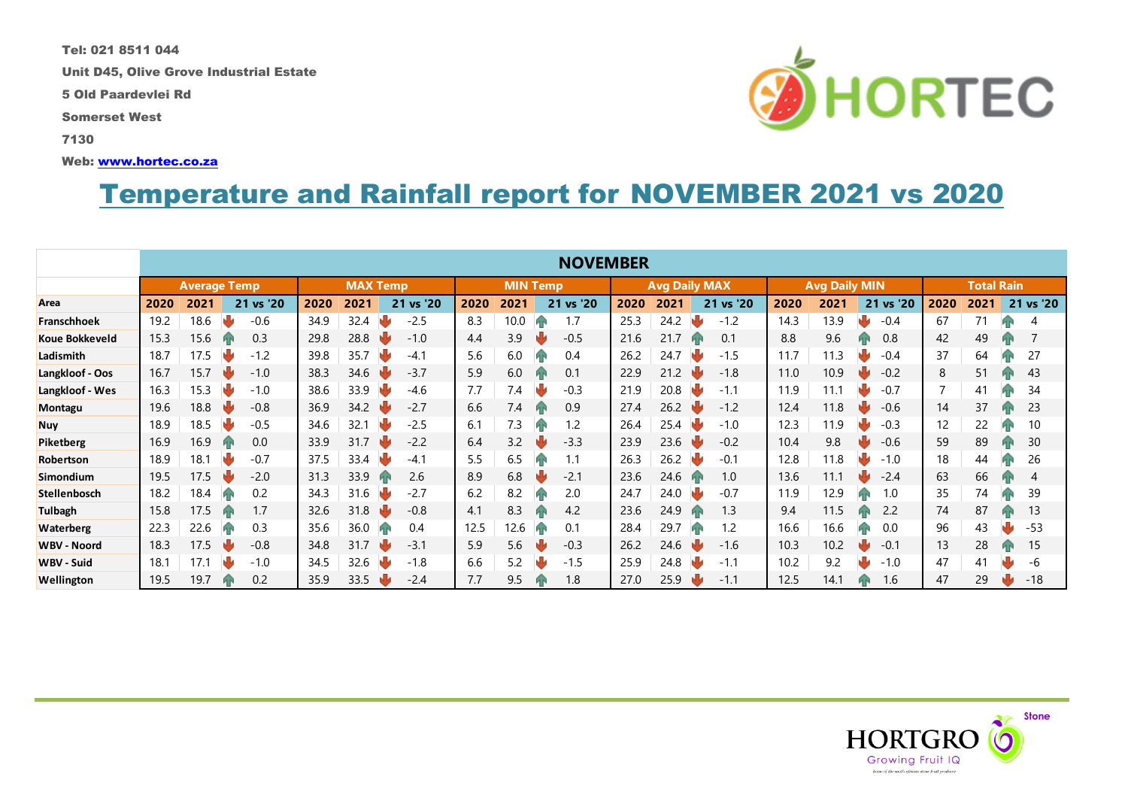Tel: 021 8511 044

Unit D45, Olive Grove Industrial Estate

5 Old Paardevlei Rd

Somerset West

7130

Web: [www.hortec.co.za](http://www.hortec.co.za/)

## Temperature and Rainfall report for NOVEMBER 2021 vs 2020

|                       | <b>NOVEMBER</b>     |      |  |                 |      |      |                 |           |      |                      |  |           |                      |      |    |                   |      |      |    |           |      |      |  |           |
|-----------------------|---------------------|------|--|-----------------|------|------|-----------------|-----------|------|----------------------|--|-----------|----------------------|------|----|-------------------|------|------|----|-----------|------|------|--|-----------|
|                       | <b>Average Temp</b> |      |  | <b>MAX Temp</b> |      |      | <b>MIN Temp</b> |           |      | <b>Avg Daily MAX</b> |  |           | <b>Avg Daily MIN</b> |      |    | <b>Total Rain</b> |      |      |    |           |      |      |  |           |
| Area                  | 2020                | 2021 |  | 21 vs '20       | 2020 | 2021 |                 | 21 vs '20 | 2020 | 2021                 |  | 21 vs '20 | 2020                 | 2021 |    | 21 vs '20         | 2020 | 2021 |    | 21 vs '20 | 2020 | 2021 |  | 21 vs '20 |
| <b>Franschhoek</b>    | 19.2                | 18.6 |  | $-0.6$          | 34.9 | 32.4 |                 | $-2.5$    | 8.3  | 10.0                 |  | 1.7       | 25.3                 | 24.2 |    | $-1.2$            | 14.3 | 13.9 |    | $-0.4$    | 67   | 71   |  | 4         |
| <b>Koue Bokkeveld</b> | 15.3                | 15.6 |  | 0.3             | 29.8 | 28.8 |                 | $-1.0$    | 4.4  | 3.9                  |  | $-0.5$    | 21.6                 | 21.7 |    | 0.1               | 8.8  | 9.6  | Иг | 0.8       | 42   | 49   |  | 7         |
| Ladismith             | 18.7                | 17.5 |  | $-1.2$          | 39.8 | 35.7 |                 | $-4.$     | 5.6  | 6.0                  |  | 0.4       | 26.2                 | 24.7 |    | $-1.5$            | 11.7 | 11.3 |    | $-0.4$    | 37   | 64   |  | 27        |
| Langkloof - Oos       | 16.7                | 15.7 |  | $-1.0$          | 38.3 | 34.6 |                 | $-3.7$    | 5.9  | 6.0                  |  | 0.1       | 22.9                 | 21.2 |    | $-1.8$            | 11.0 | 10.9 |    | $-0.2$    | 8    | 51   |  | 43        |
| Langkloof - Wes       | 16.3                | 15.3 |  | $-1.0$          | 38.6 | 33.9 |                 | -4.6      | 7.7  | 7.4                  |  | $-0.3$    | 21.9                 | 20.8 |    | $-1.1$            | 11.9 | 11.1 |    | $-0.7$    |      | 41   |  | 34        |
| <b>Montagu</b>        | 19.6                | 18.8 |  | $-0.8$          | 36.9 | 34.2 |                 | $-2.7$    | 6.6  | 7.4                  |  | 0.9       | 27.4                 | 26.2 |    | $-1.2$            | 12.4 | 11.8 |    | $-0.6$    | 14   | 37   |  | 23        |
| <b>Nuy</b>            | 18.9                | 18.5 |  | $-0.5$          | 34.6 | 32.1 |                 | $-2.5$    | 6.1  | 7.3                  |  | 2.ا       | 26.4                 | 25.4 |    | $-1.0$            | 12.3 | 11.9 |    | $-0.3$    | 12   | 22   |  | 10        |
| Piketberg             | 16.9                | 16.9 |  | 0.0             | 33.9 | 31.7 |                 | $-2.2$    | 6.4  | 3.2                  |  | $-3.3$    | 23.9                 | 23.6 |    | $-0.2$            | 10.4 | 9.8  |    | $-0.6$    | 59   | 89   |  | 30        |
| Robertson             | 18.9                | 18.1 |  | $-0.7$          | 37.5 | 33.4 |                 | -4.       | 5.5  | 6.5                  |  |           | 26.3                 | 26.2 |    | $-0.1$            | 12.8 | 11.8 |    | $-1.0$    | 18   | 44   |  | 26        |
| <b>Simondium</b>      | 19.5                | 17.5 |  | $-2.0$          | 31.3 | 33.9 | ИΝ              | 2.6       | 8.9  | 6.8                  |  | $-2.1$    | 23.6                 | 24.6 |    | 1.0               | 13.6 | 11.1 |    | $-2.4$    | 63   | 66   |  | 4         |
| Stellenbosch          | 18.2                | 18.4 |  | 0.2             | 34.3 | 31.6 |                 | $-2.7$    | 6.2  | 8.2                  |  | 2.0       | 24.7                 | 24.0 |    | $-0.7$            | 11.9 | 12.9 |    | 1.0       | 35   | 74   |  | 39        |
| <b>Tulbagh</b>        | 15.8                | 17.5 |  | 1.7             | 32.6 | 31.8 |                 | $-0.8$    | 4.1  | 8.3                  |  | 4.2       | 23.6                 | 24.9 |    | 1.3               | 9.4  | 11.5 | ИΝ | 2.2       | 74   | 87   |  | 13        |
| <b>Waterberg</b>      | 22.3                | 22.6 |  | 0.3             | 35.6 | 36.0 |                 | 0.4       | 12.5 | 12.6                 |  | 0.1       | 28.4                 | 29.7 | Иr | 1.2               | 16.6 | 16.6 |    | 0.0       | 96   | 43   |  | $-53$     |
| <b>WBV - Noord</b>    | 18.3                | 17.5 |  | $-0.8$          | 34.8 | 31.7 |                 | $-3.7$    | 5.9  | 5.6                  |  | $-0.3$    | 26.2                 | 24.6 |    | $-1.6$            | 10.3 | 10.2 |    | $-0.1$    | 13   | 28   |  | 15        |
| <b>WBV - Suid</b>     | 18.7                | 17.1 |  | $-1.0$          | 34.5 | 32.6 |                 | $-1.8$    | 6.6  | 5.2                  |  | $-1.5$    | 25.9                 | 24.8 |    | $-1.1$            | 10.2 | 9.2  |    | $-1.0$    | 47   | 41   |  | -6        |
| Wellington            | 19.5                | 19.7 |  | 0.2             | 35.9 | 33.5 |                 | $-2.4$    | 7.7  | 9.5                  |  | 1.8       | 27.0                 | 25.9 |    | $-1.1$            | 12.5 | 14.1 | ИΝ | 1.6       | 47   | 29   |  | $-18$     |



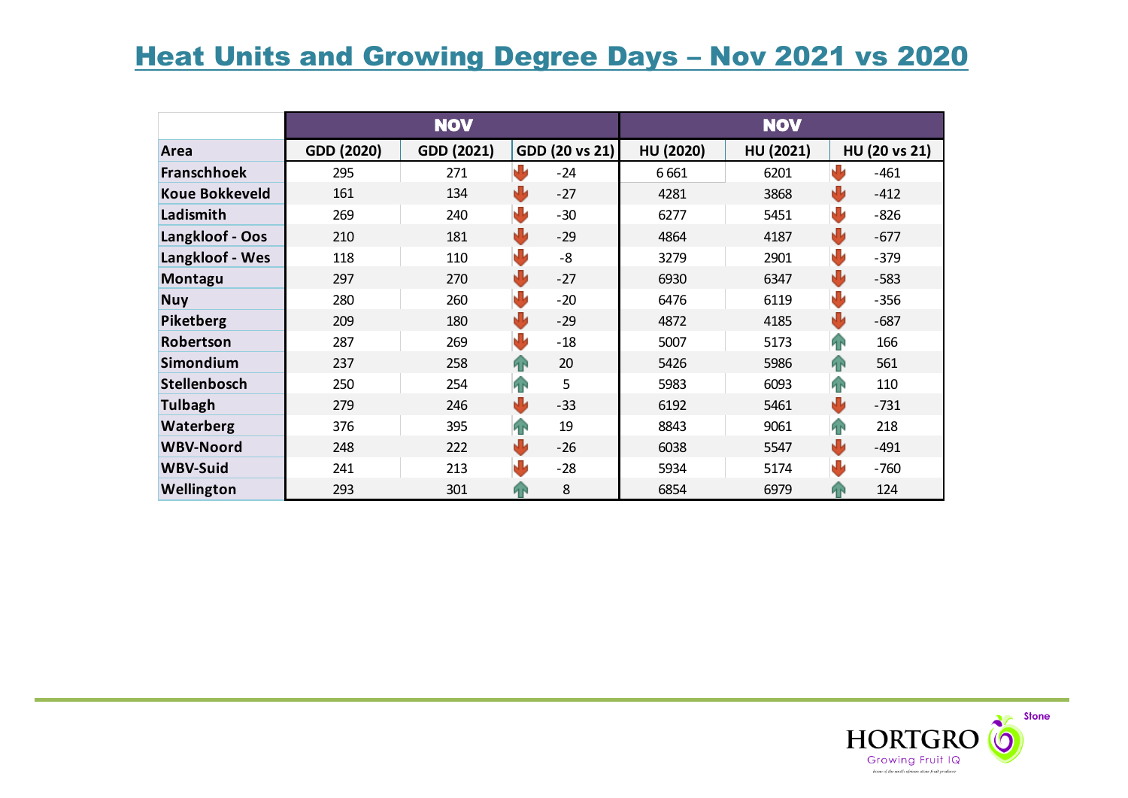## **Heat Units and Growing Degree Days - Nov 2021 vs 2020**

|                       |            | <b>NOV</b> |                                  | <b>NOV</b> |           |                  |  |  |  |  |
|-----------------------|------------|------------|----------------------------------|------------|-----------|------------------|--|--|--|--|
| Area                  | GDD (2020) | GDD (2021) | GDD (20 vs 21)                   | HU (2020)  | HU (2021) | HU (20 vs 21)    |  |  |  |  |
| <b>Franschhoek</b>    | 295        | 271        | 业<br>$-24$                       | 6661       | 6201      | ψ<br>$-461$      |  |  |  |  |
| <b>Koue Bokkeveld</b> | 161        | 134        | U<br>$-27$                       | 4281       | 3868      | ₩<br>$-412$      |  |  |  |  |
| Ladismith             | 269        | 240        | $\mathbf \Phi$<br>$-30$          | 6277       | 5451      | ₩<br>$-826$      |  |  |  |  |
| Langkloof - Oos       | 210        | 181        | ₩<br>$-29$                       | 4864       | 4187      | ₩<br>$-677$      |  |  |  |  |
| Langkloof - Wes       | 118        | 110        | $\color{red}\blacklozenge$<br>-8 | 3279       | 2901      | ₩<br>$-379$      |  |  |  |  |
| Montagu               | 297        | 270        | ψ<br>$-27$                       | 6930       | 6347      | ₩<br>$-583$      |  |  |  |  |
| <b>Nuy</b>            | 280        | 260        | $\bf \bm \Psi$<br>$-20$          | 6476       | 6119      | ₩<br>$-356$      |  |  |  |  |
| Piketberg             | 209        | 180        | ₩<br>$-29$                       | 4872       | 4185      | ₩<br>$-687$      |  |  |  |  |
| Robertson             | 287        | 269        | J<br>$-18$                       | 5007       | 5173      | <b>FR</b><br>166 |  |  |  |  |
| Simondium             | 237        | 258        | 4<br>20                          | 5426       | 5986      | 4<br>561         |  |  |  |  |
| Stellenbosch          | 250        | 254        | 42<br>5                          | 5983       | 6093      | 42<br>110        |  |  |  |  |
| Tulbagh               | 279        | 246        | ψ<br>$-33$                       | 6192       | 5461      | J<br>$-731$      |  |  |  |  |
| Waterberg             | 376        | 395        | $\bigcap$<br>19                  | 8843       | 9061      | 42<br>218        |  |  |  |  |
| <b>WBV-Noord</b>      | 248        | 222        | U<br>$-26$                       | 6038       | 5547      | J<br>$-491$      |  |  |  |  |
| <b>WBV-Suid</b>       | 241        | 213        | 违<br>$-28$                       | 5934       | 5174      | J<br>$-760$      |  |  |  |  |
| Wellington            | 293        | 301        | 8<br>4                           | 6854       | 6979      | <b>FR</b><br>124 |  |  |  |  |